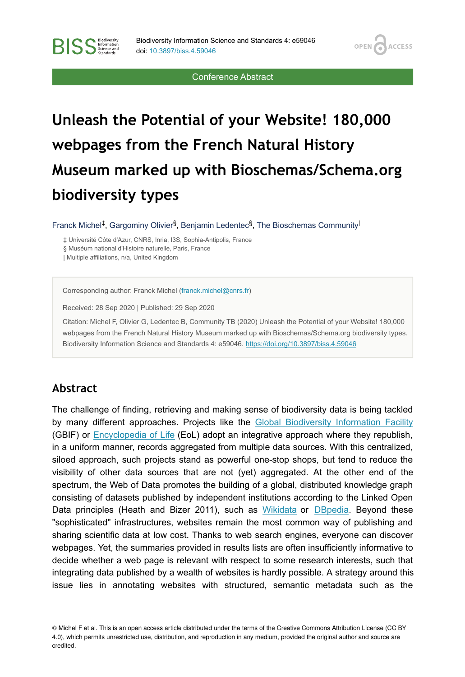**OPEN** 

**ACCESS** 

Conference Abstract

# **Unleash the Potential of your Website! 180,000 webpages from the French Natural History Museum marked up with Bioschemas/Schema.org biodiversity types**

Franck Michel<sup>‡</sup>, Gargominy Olivier<sup>§</sup>, Benjamin Ledentec<sup>§</sup>, The Bioschemas Community<sup>|</sup>

‡ Université Côte d'Azur, CNRS, Inria, I3S, Sophia-Antipolis, France § Muséum national d'Histoire naturelle, Paris, France | Multiple affiliations, n/a, United Kingdom

Corresponding author: Franck Michel [\(franck.michel@cnrs.fr](mailto:franck.michel@cnrs.fr))

Received: 28 Sep 2020 | Published: 29 Sep 2020

Citation: Michel F, Olivier G, Ledentec B, Community TB (2020) Unleash the Potential of your Website! 180,000 webpages from the French Natural History Museum marked up with Bioschemas/Schema.org biodiversity types. Biodiversity Information Science and Standards 4: e59046. <https://doi.org/10.3897/biss.4.59046>

#### **Abstract**

**BISS** Steince and

The challenge of finding, retrieving and making sense of biodiversity data is being tackled by many different approaches. Projects like the [Global Biodiversity Information Facility](https://gbif.org/) (GBIF) or [Encyclopedia of Life](https://eol.org/) (EoL) adopt an integrative approach where they republish, in a uniform manner, records aggregated from multiple data sources. With this centralized, siloed approach, such projects stand as powerful one-stop shops, but tend to reduce the visibility of other data sources that are not (yet) aggregated. At the other end of the spectrum, the Web of Data promotes the building of a global, distributed knowledge graph consisting of datasets published by independent institutions according to the Linked Open Data principles (Heath and Bizer 2011), such as [Wikidata](https://wikidata.org/) or [DBpedia.](https://wiki.dbpedia.org/) Beyond these "sophisticated" infrastructures, websites remain the most common way of publishing and sharing scientific data at low cost. Thanks to web search engines, everyone can discover webpages. Yet, the summaries provided in results lists are often insufficiently informative to decide whether a web page is relevant with respect to some research interests, such that integrating data published by a wealth of websites is hardly possible. A strategy around this issue lies in annotating websites with structured, semantic metadata such as the

© Michel F et al. This is an open access article distributed under the terms of the Creative Commons Attribution License (CC BY 4.0), which permits unrestricted use, distribution, and reproduction in any medium, provided the original author and source are credited.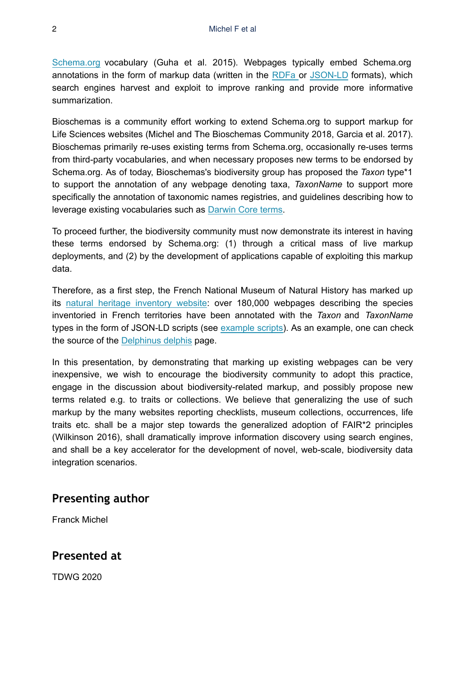[Schema.org](https://schema.org/) vocabulary (Guha et al. 2015). Webpages typically embed Schema.org annotations in the form of markup data (written in the [RDFa](https://www.w3.org/TR/rdfa-primer/) or [JSON-LD](https://www.w3.org/TR/json-ld/) formats), which search engines harvest and exploit to improve ranking and provide more informative summarization.

Bioschemas is a community effort working to extend Schema.org to support markup for Life Sciences websites (Michel and The Bioschemas Community 2018, Garcia et al. 2017). Bioschemas primarily re-uses existing terms from Schema.org, occasionally re-uses terms from third-party vocabularies, and when necessary proposes new terms to be endorsed by Schema.org. As of today, Bioschemas's biodiversity group has proposed the *Taxon* type\*1 to support the annotation of any webpage denoting taxa, *TaxonName* to support more specifically the annotation of taxonomic names registries, and guidelines describing how to leverage existing vocabularies such as [Darwin Core terms](https://dwc.tdwg.org/terms/).

To proceed further, the biodiversity community must now demonstrate its interest in having these terms endorsed by Schema.org: (1) through a critical mass of live markup deployments, and (2) by the development of applications capable of exploiting this markup data.

Therefore, as a first step, the French National Museum of Natural History has marked up its [natural heritage inventory website](https://inpn.mnhn.fr/accueil/index?lg=en): over 180,000 webpages describing the species inventoried in French territories have been annotated with the *Taxon* and *TaxonName* types in the form of JSON-LD scripts (see [example scripts\)](https://github.com/BioSchemas/specifications/tree/master/Taxon/0.7-DRAFT_examples). As an example, one can check the source of the [Delphinus delphis](https://inpn.mnhn.fr/espece/cd_nom/60878?lg=en) page.

In this presentation, by demonstrating that marking up existing webpages can be very inexpensive, we wish to encourage the biodiversity community to adopt this practice, engage in the discussion about biodiversity-related markup, and possibly propose new terms related e.g. to traits or collections. We believe that generalizing the use of such markup by the many websites reporting checklists, museum collections, occurrences, life traits etc. shall be a major step towards the generalized adoption of FAIR\*2 principles (Wilkinson 2016), shall dramatically improve information discovery using search engines, and shall be a key accelerator for the development of novel, web-scale, biodiversity data integration scenarios.

#### **Presenting author**

Franck Michel

#### **Presented at**

TDWG 2020